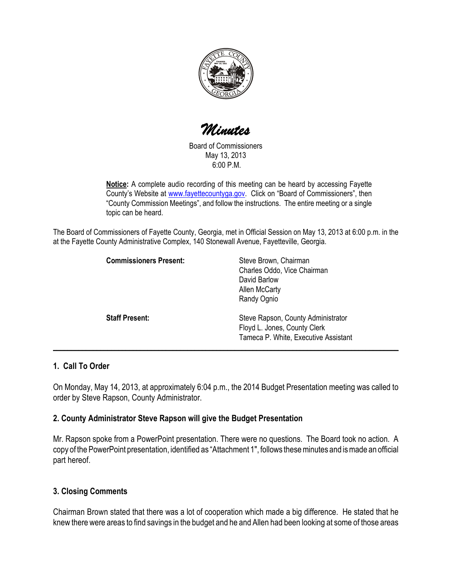

Minutes

Board of Commissioners May 13, 2013 6:00 P.M.

Notice: A complete audio recording of this meeting can be heard by accessing Fayette County's Website at www.fayettecountyga.gov. Click on "Board of Commissioners", then "County Commission Meetings", and follow the instructions. The entire meeting or a single topic can be heard.

The Board of Commissioners of Fayette County, Georgia, met in Official Session on May 13, 2013 at 6:00 p.m. in the at the Fayette County Administrative Complex, 140 Stonewall Avenue, Fayetteville, Georgia.

| <b>Commissioners Present:</b> | Steve Brown, Chairman<br>Charles Oddo, Vice Chairman<br>David Barlow<br>Allen McCarty<br>Randy Ognio       |
|-------------------------------|------------------------------------------------------------------------------------------------------------|
| <b>Staff Present:</b>         | Steve Rapson, County Administrator<br>Floyd L. Jones, County Clerk<br>Tameca P. White, Executive Assistant |

# 1. Call To Order

On Monday, May 14, 2013, at approximately 6:04 p.m., the 2014 Budget Presentation meeting was called to order by Steve Rapson, County Administrator.

### 2. County Administrator Steve Rapson will give the Budget Presentation

Mr. Rapson spoke from a PowerPoint presentation. There were no questions. The Board took no action. A copy of the PowerPoint presentation, identified as "Attachment 1", follows these minutes and is made an official part hereof.

# 3. Closing Comments

Chairman Brown stated that there was a lot of cooperation which made a big difference. He stated that he knew there were areas to find savings in the budget and he and Allen had been looking at some of those areas